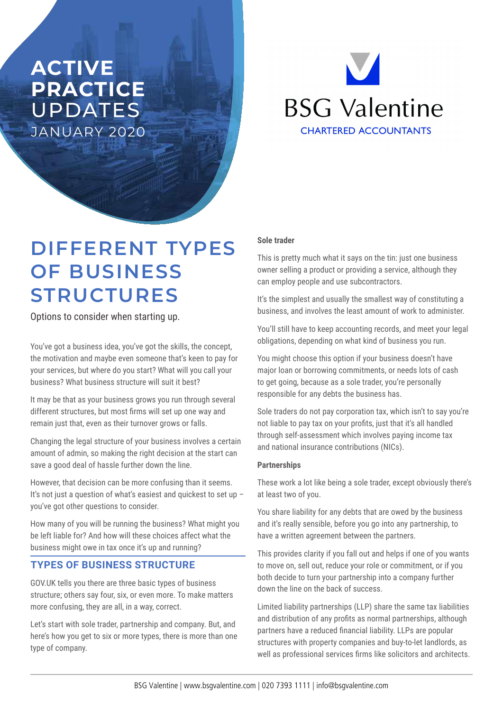# **ACTIVE PRACTICE**  UPDATES JANUARY 2020



# **DIFFERENT TYPES OF BUSINESS STRUCTURES**

Options to consider when starting up.

You've got a business idea, you've got the skills, the concept, the motivation and maybe even someone that's keen to pay for your services, but where do you start? What will you call your business? What business structure will suit it best?

It may be that as your business grows you run through several different structures, but most firms will set up one way and remain just that, even as their turnover grows or falls.

Changing the legal structure of your business involves a certain amount of admin, so making the right decision at the start can save a good deal of hassle further down the line.

However, that decision can be more confusing than it seems. It's not just a question of what's easiest and quickest to set up you've got other questions to consider.

How many of you will be running the business? What might you be left liable for? And how will these choices affect what the business might owe in tax once it's up and running?

# **TYPES OF BUSINESS STRUCTURE**

GOV.UK tells you there are three basic types of business structure; others say four, six, or even more. To make matters more confusing, they are all, in a way, correct.

Let's start with sole trader, partnership and company. But, and here's how you get to six or more types, there is more than one type of company.

# **Sole trader**

This is pretty much what it says on the tin: just one business owner selling a product or providing a service, although they can employ people and use subcontractors.

It's the simplest and usually the smallest way of constituting a business, and involves the least amount of work to administer.

You'll still have to keep accounting records, and meet your legal obligations, depending on what kind of business you run.

You might choose this option if your business doesn't have major loan or borrowing commitments, or needs lots of cash to get going, because as a sole trader, you're personally responsible for any debts the business has.

Sole traders do not pay corporation tax, which isn't to say you're not liable to pay tax on your profits, just that it's all handled through self-assessment which involves paying income tax and national insurance contributions (NICs).

# **Partnerships**

These work a lot like being a sole trader, except obviously there's at least two of you.

You share liability for any debts that are owed by the business and it's really sensible, before you go into any partnership, to have a written agreement between the partners.

This provides clarity if you fall out and helps if one of you wants to move on, sell out, reduce your role or commitment, or if you both decide to turn your partnership into a company further down the line on the back of success.

Limited liability partnerships (LLP) share the same tax liabilities and distribution of any profits as normal partnerships, although partners have a reduced financial liability. LLPs are popular structures with property companies and buy-to-let landlords, as well as professional services firms like solicitors and architects.